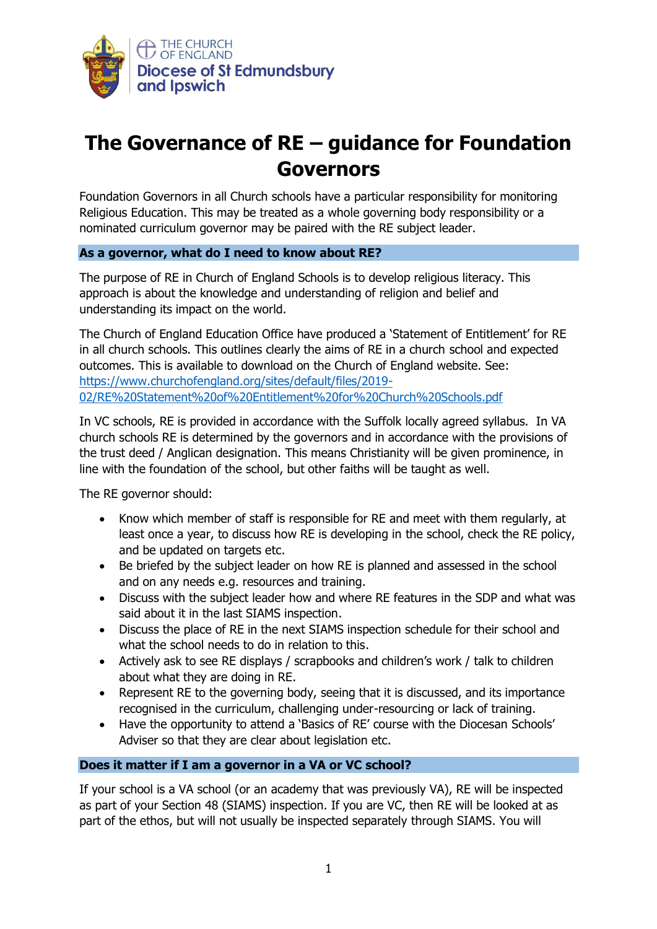

# **The Governance of RE – guidance for Foundation Governors**

Foundation Governors in all Church schools have a particular responsibility for monitoring Religious Education. This may be treated as a whole governing body responsibility or a nominated curriculum governor may be paired with the RE subject leader.

## **As a governor, what do I need to know about RE?**

The purpose of RE in Church of England Schools is to develop religious literacy. This approach is about the knowledge and understanding of religion and belief and understanding its impact on the world.

The Church of England Education Office have produced a 'Statement of Entitlement' for RE in all church schools. This outlines clearly the aims of RE in a church school and expected outcomes. This is available to download on the Church of England website. See: [https://www.churchofengland.org/sites/default/files/2019-](https://www.churchofengland.org/sites/default/files/2019-02/RE%20Statement%20of%20Entitlement%20for%20Church%20Schools.pdf) [02/RE%20Statement%20of%20Entitlement%20for%20Church%20Schools.pdf](https://www.churchofengland.org/sites/default/files/2019-02/RE%20Statement%20of%20Entitlement%20for%20Church%20Schools.pdf)

In VC schools, RE is provided in accordance with the Suffolk locally agreed syllabus. In VA church schools RE is determined by the governors and in accordance with the provisions of the trust deed / Anglican designation. This means Christianity will be given prominence, in line with the foundation of the school, but other faiths will be taught as well.

The RE governor should:

- Know which member of staff is responsible for RE and meet with them regularly, at least once a year, to discuss how RE is developing in the school, check the RE policy, and be updated on targets etc.
- Be briefed by the subject leader on how RE is planned and assessed in the school and on any needs e.g. resources and training.
- Discuss with the subject leader how and where RE features in the SDP and what was said about it in the last SIAMS inspection.
- Discuss the place of RE in the next SIAMS inspection schedule for their school and what the school needs to do in relation to this.
- Actively ask to see RE displays / scrapbooks and children's work / talk to children about what they are doing in RE.
- Represent RE to the governing body, seeing that it is discussed, and its importance recognised in the curriculum, challenging under-resourcing or lack of training.
- Have the opportunity to attend a 'Basics of RE' course with the Diocesan Schools' Adviser so that they are clear about legislation etc.

#### **Does it matter if I am a governor in a VA or VC school?**

If your school is a VA school (or an academy that was previously VA), RE will be inspected as part of your Section 48 (SIAMS) inspection. If you are VC, then RE will be looked at as part of the ethos, but will not usually be inspected separately through SIAMS. You will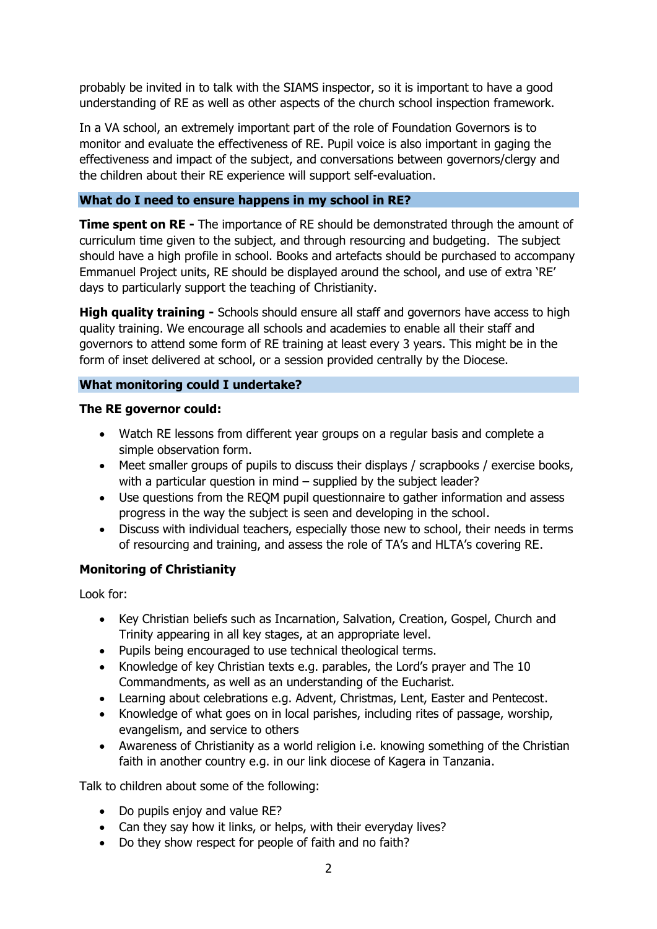probably be invited in to talk with the SIAMS inspector, so it is important to have a good understanding of RE as well as other aspects of the church school inspection framework.

In a VA school, an extremely important part of the role of Foundation Governors is to monitor and evaluate the effectiveness of RE. Pupil voice is also important in gaging the effectiveness and impact of the subject, and conversations between governors/clergy and the children about their RE experience will support self-evaluation.

## **What do I need to ensure happens in my school in RE?**

**Time spent on RE** - The importance of RE should be demonstrated through the amount of curriculum time given to the subject, and through resourcing and budgeting. The subject should have a high profile in school. Books and artefacts should be purchased to accompany Emmanuel Project units, RE should be displayed around the school, and use of extra 'RE' days to particularly support the teaching of Christianity.

**High quality training -** Schools should ensure all staff and governors have access to high quality training. We encourage all schools and academies to enable all their staff and governors to attend some form of RE training at least every 3 years. This might be in the form of inset delivered at school, or a session provided centrally by the Diocese.

## **What monitoring could I undertake?**

## **The RE governor could:**

- Watch RE lessons from different year groups on a regular basis and complete a simple observation form.
- Meet smaller groups of pupils to discuss their displays / scrapbooks / exercise books, with a particular question in mind – supplied by the subject leader?
- Use questions from the REQM pupil questionnaire to gather information and assess progress in the way the subject is seen and developing in the school.
- Discuss with individual teachers, especially those new to school, their needs in terms of resourcing and training, and assess the role of TA's and HLTA's covering RE.

## **Monitoring of Christianity**

Look for:

- Key Christian beliefs such as Incarnation, Salvation, Creation, Gospel, Church and Trinity appearing in all key stages, at an appropriate level.
- Pupils being encouraged to use technical theological terms.
- Knowledge of key Christian texts e.g. parables, the Lord's prayer and The 10 Commandments, as well as an understanding of the Eucharist.
- Learning about celebrations e.g. Advent, Christmas, Lent, Easter and Pentecost.
- Knowledge of what goes on in local parishes, including rites of passage, worship, evangelism, and service to others
- Awareness of Christianity as a world religion i.e. knowing something of the Christian faith in another country e.g. in our link diocese of Kagera in Tanzania.

Talk to children about some of the following:

- Do pupils enjoy and value RE?
- Can they say how it links, or helps, with their everyday lives?
- Do they show respect for people of faith and no faith?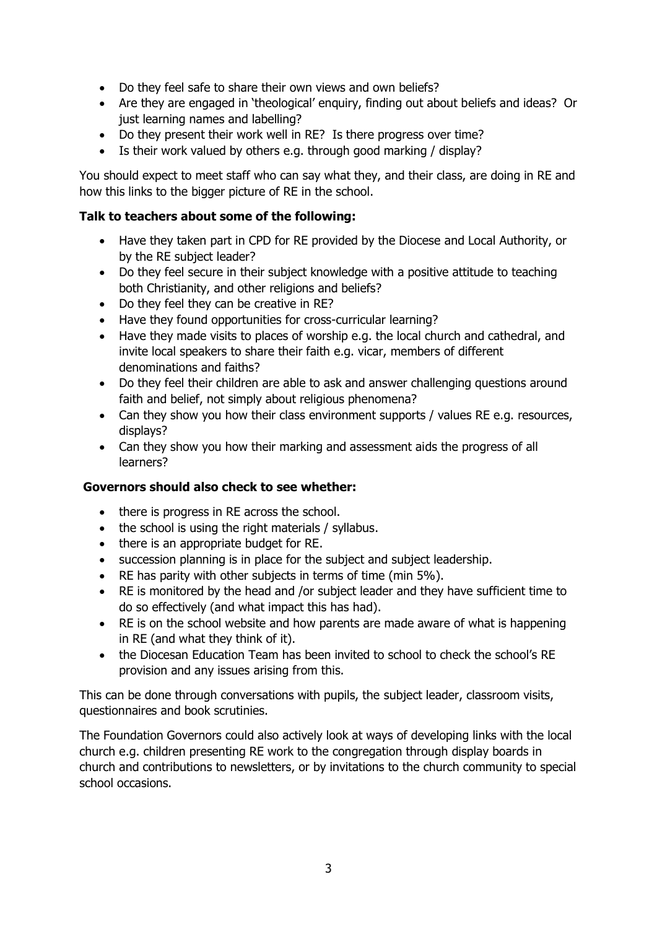- Do they feel safe to share their own views and own beliefs?
- Are they are engaged in 'theological' enquiry, finding out about beliefs and ideas? Or just learning names and labelling?
- Do they present their work well in RE? Is there progress over time?
- Is their work valued by others e.g. through good marking / display?

You should expect to meet staff who can say what they, and their class, are doing in RE and how this links to the bigger picture of RE in the school.

# **Talk to teachers about some of the following:**

- Have they taken part in CPD for RE provided by the Diocese and Local Authority, or by the RE subject leader?
- Do they feel secure in their subject knowledge with a positive attitude to teaching both Christianity, and other religions and beliefs?
- Do they feel they can be creative in RE?
- Have they found opportunities for cross-curricular learning?
- Have they made visits to places of worship e.g. the local church and cathedral, and invite local speakers to share their faith e.g. vicar, members of different denominations and faiths?
- Do they feel their children are able to ask and answer challenging questions around faith and belief, not simply about religious phenomena?
- Can they show you how their class environment supports / values RE e.g. resources, displays?
- Can they show you how their marking and assessment aids the progress of all learners?

# **Governors should also check to see whether:**

- there is progress in RE across the school.
- the school is using the right materials / syllabus.
- there is an appropriate budget for RE.
- succession planning is in place for the subject and subject leadership.
- RE has parity with other subjects in terms of time (min 5%).
- RE is monitored by the head and /or subject leader and they have sufficient time to do so effectively (and what impact this has had).
- RE is on the school website and how parents are made aware of what is happening in RE (and what they think of it).
- the Diocesan Education Team has been invited to school to check the school's RE provision and any issues arising from this.

This can be done through conversations with pupils, the subject leader, classroom visits, questionnaires and book scrutinies.

The Foundation Governors could also actively look at ways of developing links with the local church e.g. children presenting RE work to the congregation through display boards in church and contributions to newsletters, or by invitations to the church community to special school occasions.